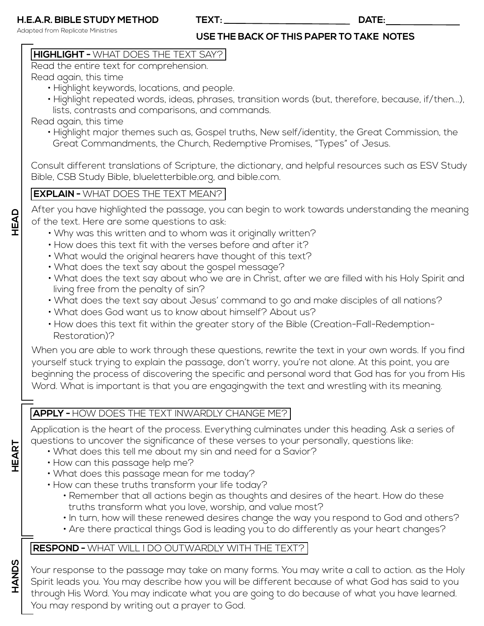Adapted from Replicate Ministries

**USE THE BACK OF THIS PAPER TO TAKE NOTES**

**TEXT: DATE:**

## **HIGHLIGHT -** WHAT DOES THE TEXT SAY?

Read the entire text for comprehension.

Read again, this time

- Highlight keywords, locations, and people.
- Highlight repeated words, ideas, phrases, transition words (but, therefore, because, if/then...), lists, contrasts and comparisons, and commands.

Read again, this time

• Highlight major themes such as, Gospel truths, New self/identity, the Great Commission, the Great Commandments, the Church, Redemptive Promises, "Types" of Jesus.

Consult different translations of Scripture, the dictionary, and helpful resources such as ESV Study Bible, CSB Study Bible, blueletterbible.org, and bible.com.

## **EXPLAIN -** WHAT DOES THE TEXT MEAN?

After you have highlighted the passage, you can begin to work towards understanding the meaning of the text. Here are some questions to ask:

- Why was this written and to whom was it originally written?
- How does this text fit with the verses before and after it?
- What would the original hearers have thought of this text?
- What does the text say about the gospel message?
- What does the text say about who we are in Christ, after we are filled with his Holy Spirit and living free from the penalty of sin?
- What does the text say about Jesus' command to go and make disciples of all nations?
- What does God want us to know about himself? About us?
- How does this text fit within the greater story of the Bible (Creation-Fall-Redemption- Restoration)?

When you are able to work through these questions, rewrite the text in your own words. If you find yourself stuck trying to explain the passage, don't worry, you're not alone. At this point, you are beginning the process of discovering the specific and personal word that God has for you from His Word. What is important is that you are engagingwith the text and wrestling with its meaning.

## **APPLY -** HOW DOES THE TEXT INWARDLY CHANGE ME?

Application is the heart of the process. Everything culminates under this heading. Ask a series of questions to uncover the significance of these verses to your personally, questions like:

- What does this tell me about my sin and need for a Savior?
- How can this passage help me?
- What does this passage mean for me today?
- How can these truths transform your life today?
	- Remember that all actions begin as thoughts and desires of the heart. How do these truths transform what you love, worship, and value most?
	- In turn, how will these renewed desires change the way you respond to God and others?
	- Are there practical things God is leading you to do differently as your heart changes?

## **RESPOND -** WHAT WILL I DO OUTWARDLY WITH THE TEXT?

Your response to the passage may take on many forms. You may write a call to action. as the Holy Spirit leads you. You may describe how you will be different because of what God has said to you through His Word. You may indicate what you are going to do because of what you have learned. You may respond by writing out a prayer to God.

**HEART**

**HANDS**

**HEAD**